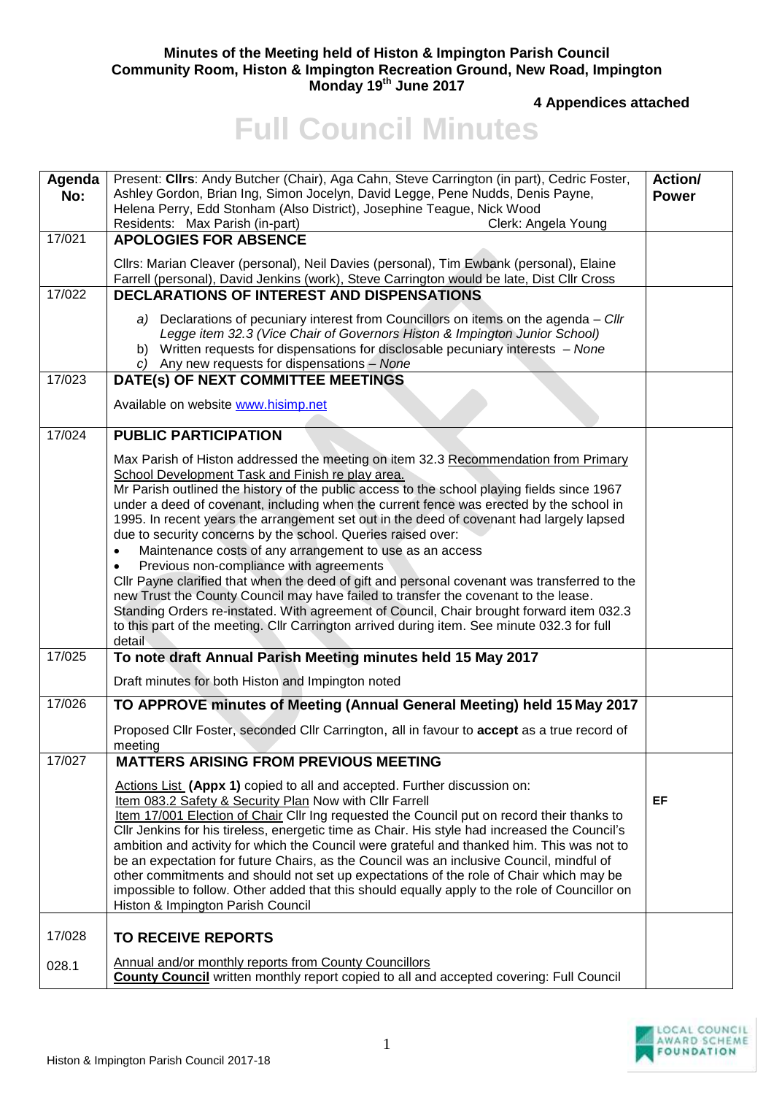## **Minutes of the Meeting held of Histon & Impington Parish Council Community Room, Histon & Impington Recreation Ground, New Road, Impington Monday 19th June 2017**

**4 Appendices attached** 

## **Full Council Minutes**

| Agenda<br>No:       | Present: Clirs: Andy Butcher (Chair), Aga Cahn, Steve Carrington (in part), Cedric Foster,<br>Ashley Gordon, Brian Ing, Simon Jocelyn, David Legge, Pene Nudds, Denis Payne,<br>Helena Perry, Edd Stonham (Also District), Josephine Teague, Nick Wood<br>Residents: Max Parish (in-part)<br>Clerk: Angela Young                                                                                                                                                                                                                                                                                                                                                                                                                                                                                                                                                                                                                                                                                 | Action/<br><b>Power</b> |
|---------------------|--------------------------------------------------------------------------------------------------------------------------------------------------------------------------------------------------------------------------------------------------------------------------------------------------------------------------------------------------------------------------------------------------------------------------------------------------------------------------------------------------------------------------------------------------------------------------------------------------------------------------------------------------------------------------------------------------------------------------------------------------------------------------------------------------------------------------------------------------------------------------------------------------------------------------------------------------------------------------------------------------|-------------------------|
| 17/021              | <b>APOLOGIES FOR ABSENCE</b>                                                                                                                                                                                                                                                                                                                                                                                                                                                                                                                                                                                                                                                                                                                                                                                                                                                                                                                                                                     |                         |
|                     | Cllrs: Marian Cleaver (personal), Neil Davies (personal), Tim Ewbank (personal), Elaine<br>Farrell (personal), David Jenkins (work), Steve Carrington would be late, Dist Cllr Cross                                                                                                                                                                                                                                                                                                                                                                                                                                                                                                                                                                                                                                                                                                                                                                                                             |                         |
| 17/022              | <b>DECLARATIONS OF INTEREST AND DISPENSATIONS</b>                                                                                                                                                                                                                                                                                                                                                                                                                                                                                                                                                                                                                                                                                                                                                                                                                                                                                                                                                |                         |
|                     | a) Declarations of pecuniary interest from Councillors on items on the agenda - Cllr<br>Legge item 32.3 (Vice Chair of Governors Histon & Impington Junior School)<br>b) Written requests for dispensations for disclosable pecuniary interests - None<br>c) Any new requests for dispensations - None                                                                                                                                                                                                                                                                                                                                                                                                                                                                                                                                                                                                                                                                                           |                         |
| 17/023              | DATE(s) OF NEXT COMMITTEE MEETINGS                                                                                                                                                                                                                                                                                                                                                                                                                                                                                                                                                                                                                                                                                                                                                                                                                                                                                                                                                               |                         |
|                     | Available on website www.hisimp.net                                                                                                                                                                                                                                                                                                                                                                                                                                                                                                                                                                                                                                                                                                                                                                                                                                                                                                                                                              |                         |
| 17/024              | <b>PUBLIC PARTICIPATION</b>                                                                                                                                                                                                                                                                                                                                                                                                                                                                                                                                                                                                                                                                                                                                                                                                                                                                                                                                                                      |                         |
|                     | Max Parish of Histon addressed the meeting on item 32.3 Recommendation from Primary<br>School Development Task and Finish re play area.<br>Mr Parish outlined the history of the public access to the school playing fields since 1967<br>under a deed of covenant, including when the current fence was erected by the school in<br>1995. In recent years the arrangement set out in the deed of covenant had largely lapsed<br>due to security concerns by the school. Queries raised over:<br>Maintenance costs of any arrangement to use as an access<br>Previous non-compliance with agreements<br>Cllr Payne clarified that when the deed of gift and personal covenant was transferred to the<br>new Trust the County Council may have failed to transfer the covenant to the lease.<br>Standing Orders re-instated. With agreement of Council, Chair brought forward item 032.3<br>to this part of the meeting. Cllr Carrington arrived during item. See minute 032.3 for full<br>detail |                         |
| $\frac{1}{17}{025}$ | To note draft Annual Parish Meeting minutes held 15 May 2017                                                                                                                                                                                                                                                                                                                                                                                                                                                                                                                                                                                                                                                                                                                                                                                                                                                                                                                                     |                         |
|                     | Draft minutes for both Histon and Impington noted                                                                                                                                                                                                                                                                                                                                                                                                                                                                                                                                                                                                                                                                                                                                                                                                                                                                                                                                                |                         |
| 17/026              | TO APPROVE minutes of Meeting (Annual General Meeting) held 15 May 2017                                                                                                                                                                                                                                                                                                                                                                                                                                                                                                                                                                                                                                                                                                                                                                                                                                                                                                                          |                         |
|                     | Proposed Cllr Foster, seconded Cllr Carrington, all in favour to accept as a true record of<br>meeting                                                                                                                                                                                                                                                                                                                                                                                                                                                                                                                                                                                                                                                                                                                                                                                                                                                                                           |                         |
| 17/027              | <b>MATTERS ARISING FROM PREVIOUS MEETING</b>                                                                                                                                                                                                                                                                                                                                                                                                                                                                                                                                                                                                                                                                                                                                                                                                                                                                                                                                                     |                         |
|                     | Actions List (Appx 1) copied to all and accepted. Further discussion on:<br>Item 083.2 Safety & Security Plan Now with Cllr Farrell<br>Item 17/001 Election of Chair Cllr Ing requested the Council put on record their thanks to<br>Cllr Jenkins for his tireless, energetic time as Chair. His style had increased the Council's<br>ambition and activity for which the Council were grateful and thanked him. This was not to<br>be an expectation for future Chairs, as the Council was an inclusive Council, mindful of<br>other commitments and should not set up expectations of the role of Chair which may be<br>impossible to follow. Other added that this should equally apply to the role of Councillor on<br>Histon & Impington Parish Council                                                                                                                                                                                                                                     | <b>EF</b>               |
| 17/028              | <b>TO RECEIVE REPORTS</b>                                                                                                                                                                                                                                                                                                                                                                                                                                                                                                                                                                                                                                                                                                                                                                                                                                                                                                                                                                        |                         |
| 028.1               | Annual and/or monthly reports from County Councillors<br><b>County Council</b> written monthly report copied to all and accepted covering: Full Council                                                                                                                                                                                                                                                                                                                                                                                                                                                                                                                                                                                                                                                                                                                                                                                                                                          |                         |

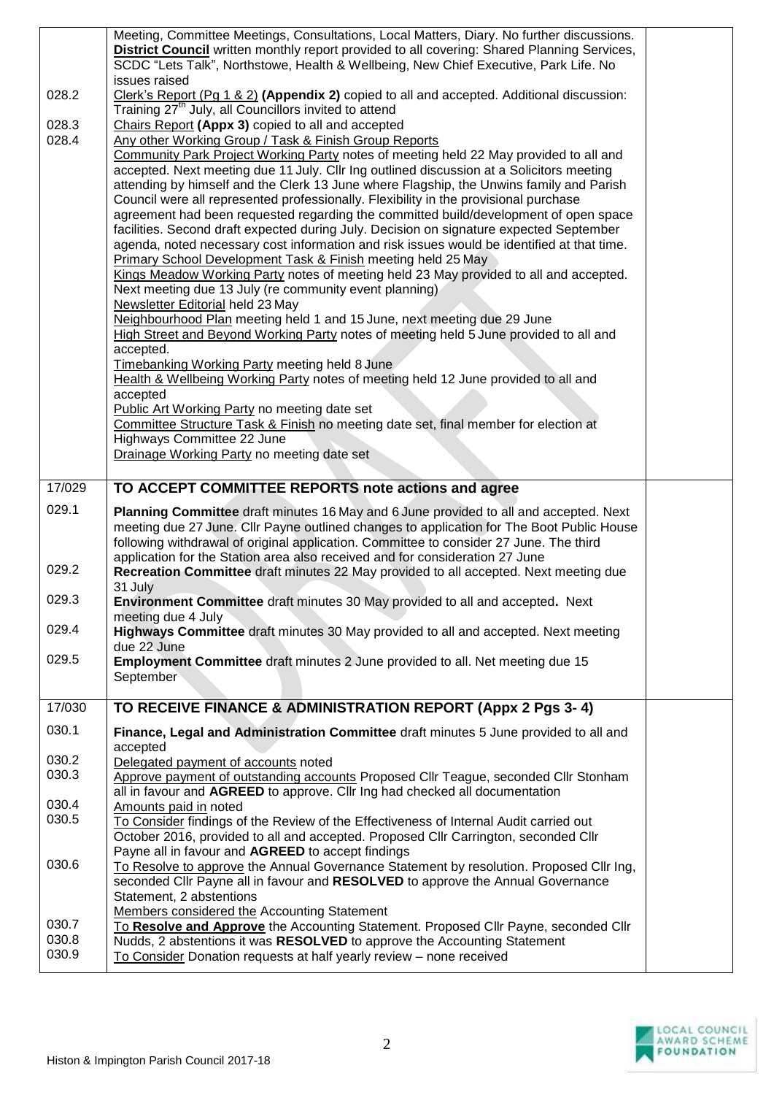|                | Meeting, Committee Meetings, Consultations, Local Matters, Diary. No further discussions.                                                                                           |  |
|----------------|-------------------------------------------------------------------------------------------------------------------------------------------------------------------------------------|--|
|                | District Council written monthly report provided to all covering: Shared Planning Services,<br>SCDC "Lets Talk", Northstowe, Health & Wellbeing, New Chief Executive, Park Life. No |  |
|                | issues raised                                                                                                                                                                       |  |
| 028.2          | Clerk's Report (Pg 1 & 2) (Appendix 2) copied to all and accepted. Additional discussion:<br>Training 27 <sup>th</sup> July, all Councillors invited to attend                      |  |
| 028.3          | Chairs Report (Appx 3) copied to all and accepted                                                                                                                                   |  |
| 028.4          | Any other Working Group / Task & Finish Group Reports                                                                                                                               |  |
|                | Community Park Project Working Party notes of meeting held 22 May provided to all and                                                                                               |  |
|                | accepted. Next meeting due 11 July. Cllr Ing outlined discussion at a Solicitors meeting                                                                                            |  |
|                | attending by himself and the Clerk 13 June where Flagship, the Unwins family and Parish                                                                                             |  |
|                | Council were all represented professionally. Flexibility in the provisional purchase<br>agreement had been requested regarding the committed build/development of open space        |  |
|                | facilities. Second draft expected during July. Decision on signature expected September                                                                                             |  |
|                | agenda, noted necessary cost information and risk issues would be identified at that time.                                                                                          |  |
|                | Primary School Development Task & Finish meeting held 25 May                                                                                                                        |  |
|                | Kings Meadow Working Party notes of meeting held 23 May provided to all and accepted.<br>Next meeting due 13 July (re community event planning)                                     |  |
|                | Newsletter Editorial held 23 May                                                                                                                                                    |  |
|                | Neighbourhood Plan meeting held 1 and 15 June, next meeting due 29 June                                                                                                             |  |
|                | High Street and Beyond Working Party notes of meeting held 5 June provided to all and                                                                                               |  |
|                | accepted.<br>Timebanking Working Party meeting held 8 June                                                                                                                          |  |
|                | Health & Wellbeing Working Party notes of meeting held 12 June provided to all and                                                                                                  |  |
|                | accepted                                                                                                                                                                            |  |
|                | Public Art Working Party no meeting date set                                                                                                                                        |  |
|                | Committee Structure Task & Finish no meeting date set, final member for election at<br>Highways Committee 22 June                                                                   |  |
|                | Drainage Working Party no meeting date set                                                                                                                                          |  |
|                |                                                                                                                                                                                     |  |
| 17/029         | TO ACCEPT COMMITTEE REPORTS note actions and agree                                                                                                                                  |  |
|                |                                                                                                                                                                                     |  |
| 029.1          | Planning Committee draft minutes 16 May and 6 June provided to all and accepted. Next                                                                                               |  |
|                | meeting due 27 June. Cllr Payne outlined changes to application for The Boot Public House                                                                                           |  |
|                | following withdrawal of original application. Committee to consider 27 June. The third                                                                                              |  |
| 029.2          | application for the Station area also received and for consideration 27 June                                                                                                        |  |
|                | Recreation Committee draft minutes 22 May provided to all accepted. Next meeting due<br>31 July                                                                                     |  |
| 029.3          | Environment Committee draft minutes 30 May provided to all and accepted. Next                                                                                                       |  |
| 029.4          | meeting due 4 July                                                                                                                                                                  |  |
|                | Highways Committee draft minutes 30 May provided to all and accepted. Next meeting<br>due 22 June                                                                                   |  |
| 029.5          | Employment Committee draft minutes 2 June provided to all. Net meeting due 15                                                                                                       |  |
|                | September                                                                                                                                                                           |  |
| 17/030         |                                                                                                                                                                                     |  |
|                | TO RECEIVE FINANCE & ADMINISTRATION REPORT (Appx 2 Pgs 3-4)                                                                                                                         |  |
| 030.1          | Finance, Legal and Administration Committee draft minutes 5 June provided to all and                                                                                                |  |
| 030.2          | accepted<br>Delegated payment of accounts noted                                                                                                                                     |  |
| 030.3          | Approve payment of outstanding accounts Proposed Cllr Teague, seconded Cllr Stonham                                                                                                 |  |
|                | all in favour and AGREED to approve. Cllr Ing had checked all documentation                                                                                                         |  |
| 030.4<br>030.5 | Amounts paid in noted<br>To Consider findings of the Review of the Effectiveness of Internal Audit carried out                                                                      |  |
|                | October 2016, provided to all and accepted. Proposed Cllr Carrington, seconded Cllr                                                                                                 |  |
|                | Payne all in favour and AGREED to accept findings                                                                                                                                   |  |
| 030.6          | To Resolve to approve the Annual Governance Statement by resolution. Proposed Cllr Ing,                                                                                             |  |
|                | seconded Cllr Payne all in favour and RESOLVED to approve the Annual Governance<br>Statement, 2 abstentions                                                                         |  |
|                | Members considered the Accounting Statement                                                                                                                                         |  |
| 030.7          | To Resolve and Approve the Accounting Statement. Proposed Cllr Payne, seconded Cllr                                                                                                 |  |
| 030.8<br>030.9 | Nudds, 2 abstentions it was RESOLVED to approve the Accounting Statement<br>To Consider Donation requests at half yearly review - none received                                     |  |